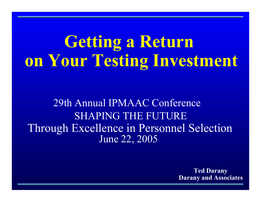# **Getting a Return on Your Testing Investment**

29th Annual IPMAAC Conference SHAPING THE FUTURE Through Excellence in Personnel Selection June 22, 2005

> **Ted Darany Darany and Associates**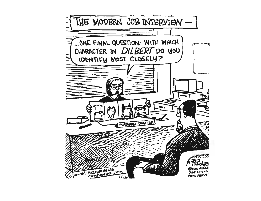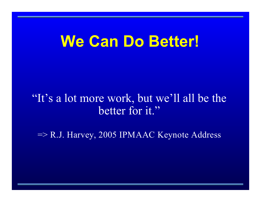# **We Can Do Better!**

#### "It's a lot more work, but we'll all be the better for it."

=> R.J. Harvey, 2005 IPMAAC Keynote Address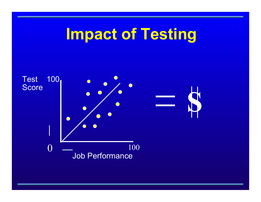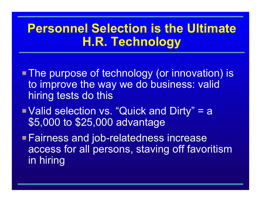#### **Personnel Selection is the Ultimate H.R. Technology**

- **The purpose of technology (or innovation) is** to improve the way we do business: valid hiring tests do this
- **Nalid selection vs. "Quick and Dirty" = a** \$5,000 to \$25,000 advantage

**Fairness and job-relatedness increase** access for all persons, staving off favoritism in hiring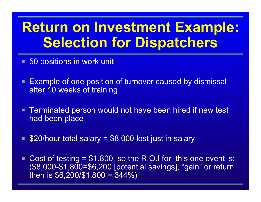## **Return on Investment Example: Selection for Dispatchers**

- 50 positions in work unit
- **Example of one position of turnover caused by dismissal** after 10 weeks of training
- **F** Terminated person would not have been hired if new test had been place
- $\blacktriangleright$  \$20/hour total salary = \$8,000 lost just in salary
- $\blacksquare$  Cost of testing = \$1,800, so the R.O.I for this one event is: (\$8,000-\$1,800=\$6,200 [potential savings], "gain" or return then is  $$6,200/$1,800 = 344\%$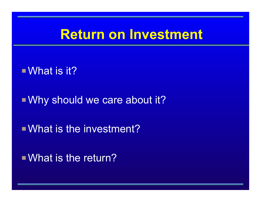### **Return on Investment**

 $\blacksquare$  What is it?

**No. 3 Nould we care about it?** 

 $\blacksquare$  What is the investment?

 $\blacksquare$  What is the return?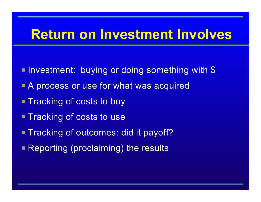### **Return on Investment Involves**

- **P** Investment: buying or doing something with \$
- **A process or use for what was acquired**
- Tracking of costs to buy
- **Tracking of costs to use**
- **Tracking of outcomes: did it payoff?**
- **Reporting (proclaiming) the results**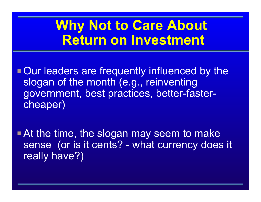### **Why Not to Care About Return on Investment**

**POur leaders are frequently influenced by the** slogan of the month (e.g., reinventing government, best practices, better-fastercheaper)

 $\blacksquare$  At the time, the slogan may seem to make sense (or is it cents? - what currency does it really have?)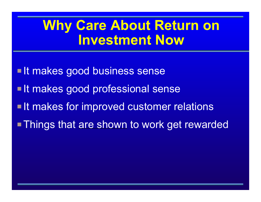### **Why Care About Return on Investment Now**

**If makes good business sense If makes good professional sense If makes for improved customer relations - Things that are shown to work get rewarded**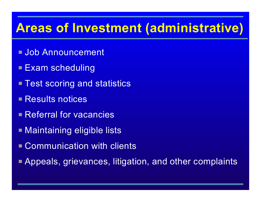### **Areas of Investment (administrative)**

- **Job Announcement**
- **Exam scheduling**
- **Test scoring and statistics**
- **Results notices**
- **Referral for vacancies**
- **Maintaining eligible lists**
- **E** Communication with clients
- **Appeals, grievances, litigation, and other complaints**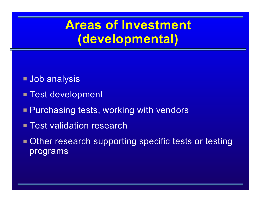### **Areas of Investment (developmental)**

- **Job analysis**
- **Test development**
- **Purchasing tests, working with vendors**
- **F** Test validation research
- **Other research supporting specific tests or testing** programs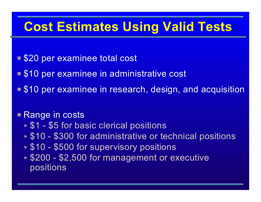#### **Cost Estimates Using Valid Tests**

- **S20 per examinee total cost**
- **S10 per examinee in administrative cost**
- \$10 per examinee in research, design, and acquisition

#### ■ Range in costs

- ► \$1 \$5 for basic clerical positions
- ► \$10 \$300 for administrative or technical positions
- ► \$10 \$500 for supervisory positions
- ► \$200 \$2,500 for management or executive positions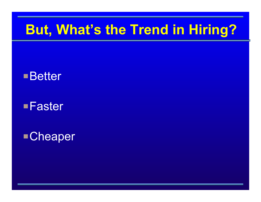## **But, What's the Trend in Hiring?**

#### **Better**

#### $\blacksquare$ Faster

**-Cheaper**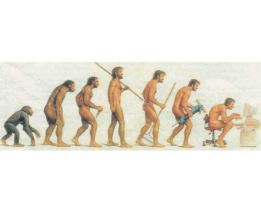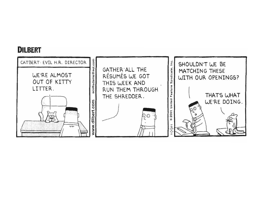#### **DILBERT**

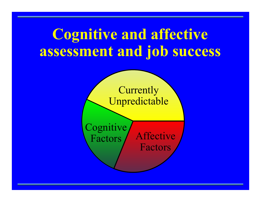# **Cognitive and affective assessment and job success**

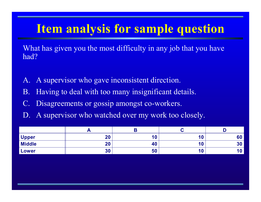### **Item analysis for sample question**

What has given you the most difficulty in any job that you have had?

- A. A supervisor who gave inconsistent direction.
- B. Having to deal with too many insignificant details.
- C. Disagreements or gossip amongst co-workers.
- D. A supervisor who watched over my work too closely.

| <b>Upper</b>  | 20 |    | 1 U | ou  |
|---------------|----|----|-----|-----|
| <b>Middle</b> | 20 | 40 | ιu  | IJι |
| <b>Lower</b>  | 30 | 50 | I U |     |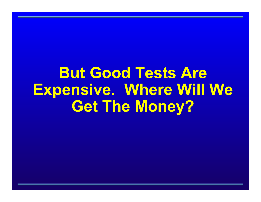# **But Good Tests Are Expensive. Where Will We Get The Money?**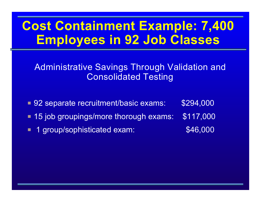### **Cost Containment Example: 7,400 Employees in 92 Job Classes**

Administrative Savings Through Validation and Consolidated Testing

■ 92 separate recruitment/basic exams: \$294,000 **15 job groupings/more thorough exams: \$117,000** P 1 group/sophisticated exam: \$46,000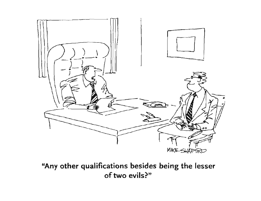

"Any other qualifications besides being the lesser of two evils?"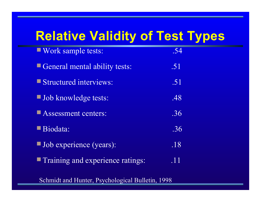### **Relative Validity of Test Types**

| ■ Work sample tests:             | .54 |  |
|----------------------------------|-----|--|
| General mental ability tests:    | .51 |  |
| Structured interviews:           | .51 |  |
| <b>Job knowledge tests:</b>      | .48 |  |
| Assessment centers:              | .36 |  |
| Biodata:                         | .36 |  |
| <b>Job</b> experience (years):   | .18 |  |
| Training and experience ratings: | .11 |  |
|                                  |     |  |

Schmidt and Hunter, Psychological Bulletin, 1998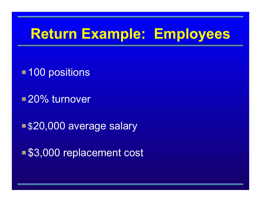## **Return Example: Employees**

**-100 positions** 

■20% turnover

■ \$20,000 average salary

■ \$3,000 replacement cost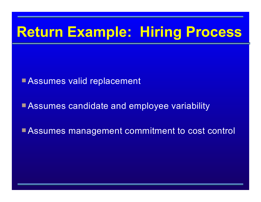# **Return Example: Hiring Process**

**Assumes valid replacement** 

**Assumes candidate and employee variability** 

**Assumes management commitment to cost control**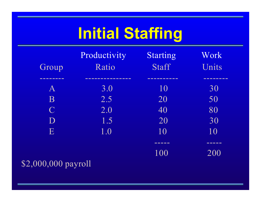# **Initial Staffing**

| Group          | Productivity<br>Ratio | Starting<br>Staff | Work<br>Units |
|----------------|-----------------------|-------------------|---------------|
| --------       |                       | --------          | --------      |
| $\bm{A}$       | 3.0                   | 10                | 30            |
| B              | 2.5                   | 20                | 50            |
| $\overline{C}$ | 2.0                   | 40                | 80            |
| D              | 1.5                   | 20                | 30            |
| E              | 1.0                   | 10                | 10            |
|                |                       | -----             | -----         |
|                |                       | 100               | 200           |
|                | - -                   |                   |               |

\$2,000,000 payroll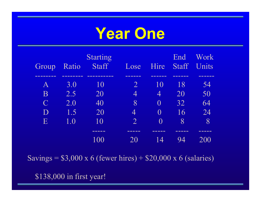# **Year One**

|                                                                                                                                                                                                                                      |          | <b>Starting</b>                                                                                                                                                                                                                      |                          |                | End          | Work         |
|--------------------------------------------------------------------------------------------------------------------------------------------------------------------------------------------------------------------------------------|----------|--------------------------------------------------------------------------------------------------------------------------------------------------------------------------------------------------------------------------------------|--------------------------|----------------|--------------|--------------|
| Group                                                                                                                                                                                                                                | Ratio    | <b>Staff</b>                                                                                                                                                                                                                         | Lose                     | Hire           | <b>Staff</b> | <b>Units</b> |
| <u> 1980 - 1980 - 1980 - 1980 - 1980 - 1980 - 1980 - 1980 - 1980 - 1980 - 1980 - 1980 - 1980 - 1980 - 1980 - 1980 - 1980 - 1980 - 1980 - 1980 - 1980 - 1980 - 1980 - 1980 - 1980 - 1980 - 1980 - 1980 - 1980 - 1980 - 1980 - 198</u> | ________ | ___________                                                                                                                                                                                                                          | _______                  |                | ______       |              |
| $\bm A$                                                                                                                                                                                                                              | 3.0      | 10                                                                                                                                                                                                                                   |                          | 10             | 18           | 54           |
| B                                                                                                                                                                                                                                    | 2.5      | 20                                                                                                                                                                                                                                   | $\boldsymbol{\varDelta}$ | 4              | 20           | 50           |
| $\mathbf C$                                                                                                                                                                                                                          | 2.0      | 40                                                                                                                                                                                                                                   | 8                        | $\Omega$       | 32           | 64           |
|                                                                                                                                                                                                                                      | 1.5      | 20                                                                                                                                                                                                                                   | $\overline{4}$           | $\Omega$       | 16           | 24           |
| E                                                                                                                                                                                                                                    | 1.0      | 10                                                                                                                                                                                                                                   | $\mathcal{D}^+$          |                | 8            | 8            |
|                                                                                                                                                                                                                                      |          | <u> 1980 - 1980 - 1980 - 1980 - 1980 - 1980 - 1980 - 1980 - 1980 - 1980 - 1980 - 1980 - 1980 - 1980 - 1980 - 1980 - 1980 - 1980 - 1980 - 1980 - 1980 - 1980 - 1980 - 1980 - 1980 - 1980 - 1980 - 1980 - 1980 - 1980 - 1980 - 198</u> | _____                    | ____           | _____        | ------       |
|                                                                                                                                                                                                                                      |          |                                                                                                                                                                                                                                      |                          | $\overline{4}$ |              |              |

Savings =  $$3,000 \times 6$  (fewer hires) +  $$20,000 \times 6$  (salaries)

\$138,000 in first year!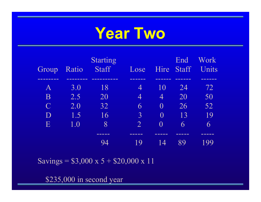# **Year Two**

| Group       | Ratio | <b>Starting</b><br><b>Staff</b> | Lose           | Hire           | End<br>Staff | Work<br>Units |
|-------------|-------|---------------------------------|----------------|----------------|--------------|---------------|
|             |       |                                 |                |                |              | _______       |
|             | 3.0   | 18                              |                | 10             | 24           | 72            |
| B           | 2.5   | 20                              | 4              | $\overline{4}$ | 20           | 50            |
| $\mathbf C$ | 2.0   | 32                              | 6              | $\Omega$       | 26           | 52            |
|             | 1.5   | 16                              | $\mathbf 3$    |                | 13           | 19            |
| E           | 1.0   | $8\,$                           | $\overline{2}$ |                | 6            | 6             |
|             |       |                                 | _____          | _____          | ____         | -----         |
|             |       |                                 | 1 Q            | $\overline{4}$ | 89           |               |

Savings =  $$3,000 \times 5 + $20,000 \times 11$ 

\$235,000 in second year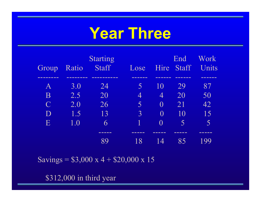# **Year Three**

|             |       | <b>Starting</b>                                                                                                                                                                                                                      |                          |                | End          | Work                     |
|-------------|-------|--------------------------------------------------------------------------------------------------------------------------------------------------------------------------------------------------------------------------------------|--------------------------|----------------|--------------|--------------------------|
| Group       | Ratio | <b>Staff</b>                                                                                                                                                                                                                         | Lose                     | Hire           | <b>Staff</b> | Units                    |
|             |       | <u> 1980 - De Bernard Bernard, mens best der </u>                                                                                                                                                                                    | ______                   |                |              | ______                   |
| A           | 3.0   | 24                                                                                                                                                                                                                                   | $\overline{\mathcal{L}}$ | 10             | 29           | 87                       |
| B           | 2.5   | 20                                                                                                                                                                                                                                   | $\overline{4}$           | $\overline{4}$ | 20           | 50                       |
| $\mathbf C$ | 2.0   | 26                                                                                                                                                                                                                                   | $\overline{5}$           | $\mathbf{O}$   | 21           | 42                       |
| $\Box$      | 1.5   | 13                                                                                                                                                                                                                                   | $\mathbf 3$              |                | 10           | 15                       |
| E           | 1.0   | 6                                                                                                                                                                                                                                    |                          | $\mathcal O$   | 5            | $\overline{\mathcal{S}}$ |
|             |       | <u> 1980 - 1981 - 1981 - 1982 - 1982 - 1982 - 1982 - 1982 - 1982 - 1982 - 1982 - 1982 - 1982 - 1982 - 1982 - 1982 - 1982 - 1982 - 1982 - 1982 - 1982 - 1982 - 1982 - 1982 - 1982 - 1982 - 1982 - 1982 - 1982 - 1982 - 1982 - 198</u> | _____                    | -----          | _____        | -----                    |
|             |       |                                                                                                                                                                                                                                      | 18                       | 14             | 85           |                          |

Savings =  $$3,000 \text{ x } 4 + $20,000 \text{ x } 15$ 

\$312,000 in third year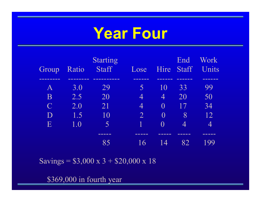# **Year Four**

| Group          | Ratio | <b>Starting</b><br><b>Staff</b> | Lose<br>------ | Hire           | End<br><b>Staff</b> | Work<br>Units<br>-------- |
|----------------|-------|---------------------------------|----------------|----------------|---------------------|---------------------------|
| $\bm{A}$       | 3.0   | 29                              |                | 10             | 33                  | 99                        |
| B              | 2.5   | 20                              | 4              | $\overline{4}$ | 20                  | 50                        |
| $\overline{C}$ | 2.0   | 21                              | 4              | $\Omega$       | 17                  | 34                        |
| D              | 1.5   | 10                              | $\overline{2}$ |                | 8                   | 12                        |
| E              | 1.0   | 5                               |                |                |                     |                           |
|                |       | _______                         | -----          | ------         | _____               | -----                     |
|                |       |                                 | 16             | 14             | 82                  |                           |

Savings =  $$3,000 \text{ x } 3 + $20,000 \text{ x } 18$ 

\$369,000 in fourth year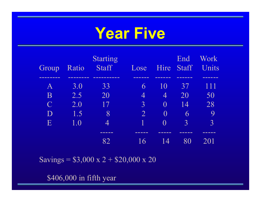# **Year Five**

| Group          | Ratio | <b>Starting</b><br><b>Staff</b> | Lose                  | Hire             | End<br>Staff | <b>Work</b><br>Units |
|----------------|-------|---------------------------------|-----------------------|------------------|--------------|----------------------|
|                |       |                                 |                       |                  |              | ______               |
| $\mathsf{A}$   | 3.0   | 33                              | 6                     | 10               | 37           | 111                  |
| B              | 2.5   | 20                              | 4                     | $\overline{4}$   | 20           | 50                   |
| $\overline{C}$ | 2.0   | 17                              | 3                     | $\left( \right)$ | 14           | 28                   |
| D              | 1.5   | 8                               | $\mathcal{D}_{\cdot}$ | $\left( \right)$ | 6            | 9                    |
| E              | 1.0   |                                 |                       |                  | 3            | 3                    |
|                |       | _______                         | _____                 |                  |              | ------               |
|                |       |                                 | 16                    | 14               |              |                      |

Savings =  $$3,000 \text{ x } 2 + $20,000 \text{ x } 20$ 

\$406,000 in fifth year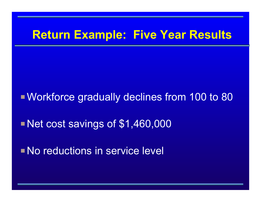#### **Return Example: Five Year Results**

**Norkforce gradually declines from 100 to 80** 

**Net cost savings of \$1,460,000** 

No reductions in service level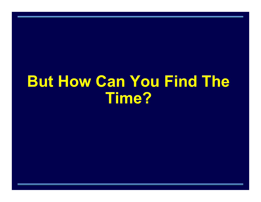# **But How Can You Find The Time?**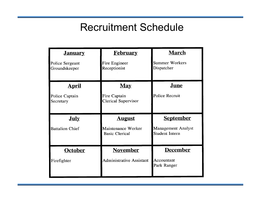#### Recruitment Schedule

| <b>January</b>                   | <u>February</u>                             | <b>March</b>                                       |
|----------------------------------|---------------------------------------------|----------------------------------------------------|
| Police Sergeant<br>Groundskeeper | Fire Engineer<br>Receptionist               | <b>Summer Workers</b><br>Dispatcher                |
| <u>April</u>                     | <b>May</b>                                  | June                                               |
| Police Captain<br>Secretary      | Fire Captain<br><b>Clerical Supervisor</b>  | <b>Police Recruit</b>                              |
|                                  |                                             |                                                    |
| <b>July</b>                      | <u>August</u>                               | <u>September</u>                                   |
| <b>Battalion Chief</b>           | Maintenance Worker<br><b>Basic Clerical</b> | <b>Management Analyst</b><br><b>Student Intern</b> |
| October                          | <b>November</b>                             | <b>December</b>                                    |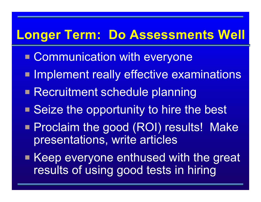### **Longer Term: Do Assessments Well**

- **Communication with everyone**
- **P Implement really effective examinations**
- **Recruitment schedule planning**
- Seize the opportunity to hire the best
- **Proclaim the good (ROI) results! Make** presentations, write articles
- Keep everyone enthused with the great results of using good tests in hiring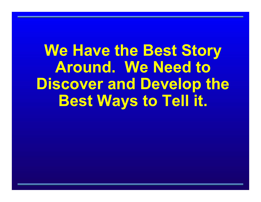**We Have the Best Story Around. We Need to Discover and Develop the Best Ways to Tell it.**